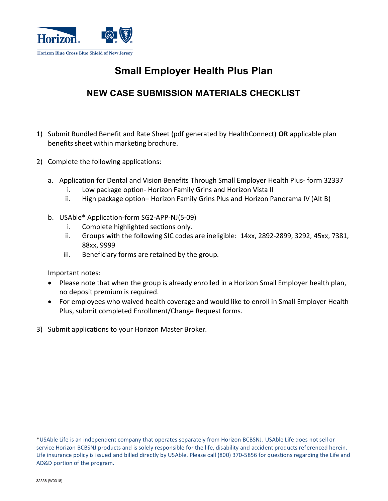

## **Small Employer Health Plus Plan**

## **NEW CASE SUBMISSION MATERIALS CHECKLIST**

- 1) Submit Bundled Benefit and Rate Sheet (pdf generated by HealthConnect) **OR** applicable plan benefits sheet within marketing brochure.
- 2) Complete the following applications:
	- a. Application for Dental and Vision Benefits Through Small Employer Health Plus- form 32337
		- i. Low package option- Horizon Family Grins and Horizon Vista II
		- ii. High package option– Horizon Family Grins Plus and Horizon Panorama IV (Alt B)
	- b. USAble\* Application-form SG2-APP-NJ(5-09)
		- i. Complete highlighted sections only.
		- ii. Groups with the following SIC codes are ineligible: 14xx, 2892-2899, 3292, 45xx, 7381, 88xx, 9999
		- iii. Beneficiary forms are retained by the group.

Important notes:

- Please note that when the group is already enrolled in a Horizon Small Employer health plan, no deposit premium is required.
- For employees who waived health coverage and would like to enroll in Small Employer Health Plus, submit completed Enrollment/Change Request forms.
- 3) Submit applications to your Horizon Master Broker.

\*USAble Life is an independent company that operates separately from Horizon BCBSNJ. USAble Life does not sell or service Horizon BCBSNJ products and is solely responsible for the life, disability and accident products referenced herein. Life insurance policy is issued and billed directly by USAble. Please call (800) 370-5856 for questions regarding the Life and AD&D portion of the program.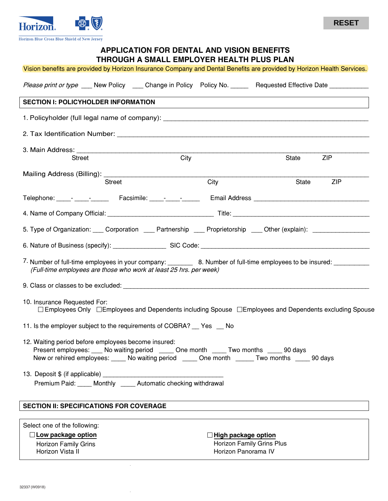

Horizon Blue Cross Blue Shield of New Jersey

### **APPLICATION FOR DENTAL AND VISION BENEFITS THROUGH A SMALL EMPLOYER HEALTH PLUS PLAN**

| Vision benefits are provided by Horizon Insurance Company and Dental Benefits are provided by Horizon Health Services.                                                                                                                           |      |                                                  |            |
|--------------------------------------------------------------------------------------------------------------------------------------------------------------------------------------------------------------------------------------------------|------|--------------------------------------------------|------------|
| Please print or type ____ New Policy _____ Change in Policy Policy No. _______ Requested Effective Date ___________                                                                                                                              |      |                                                  |            |
| <b>SECTION I: POLICYHOLDER INFORMATION</b>                                                                                                                                                                                                       |      |                                                  |            |
|                                                                                                                                                                                                                                                  |      |                                                  |            |
|                                                                                                                                                                                                                                                  |      |                                                  |            |
|                                                                                                                                                                                                                                                  |      |                                                  |            |
| Street                                                                                                                                                                                                                                           | City | State                                            | <b>ZIP</b> |
|                                                                                                                                                                                                                                                  |      |                                                  |            |
| <b>Street</b>                                                                                                                                                                                                                                    | City | State                                            | <b>ZIP</b> |
|                                                                                                                                                                                                                                                  |      |                                                  |            |
|                                                                                                                                                                                                                                                  |      |                                                  |            |
| 5. Type of Organization: Corporation Corporation Partnership Corporietorship Corporation (explain): Corporation                                                                                                                                  |      |                                                  |            |
|                                                                                                                                                                                                                                                  |      |                                                  |            |
| 7. Number of full-time employees in your company: _________ 8. Number of full-time employees to be insured: ________<br>(Full-time employees are those who work at least 25 hrs. per week)                                                       |      |                                                  |            |
|                                                                                                                                                                                                                                                  |      |                                                  |            |
| 10. Insurance Requested For:<br>$\Box$ Employees Only $\Box$ Employees and Dependents including Spouse $\Box$ Employees and Dependents excluding Spouse                                                                                          |      |                                                  |            |
| 11. Is the employer subject to the requirements of COBRA? __ Yes __ No                                                                                                                                                                           |      |                                                  |            |
| 12. Waiting period before employees become insured:<br>Present employees: ___ No waiting period ____ One month ____ Two months ____ 90 days<br>New or rehired employees: _____ No waiting period _____ One month ______ Two months _____ 90 days |      |                                                  |            |
|                                                                                                                                                                                                                                                  |      |                                                  |            |
| Premium Paid: ____ Monthly _____ Automatic checking withdrawal                                                                                                                                                                                   |      |                                                  |            |
| <b>SECTION II: SPECIFICATIONS FOR COVERAGE</b>                                                                                                                                                                                                   |      |                                                  |            |
|                                                                                                                                                                                                                                                  |      |                                                  |            |
| Select one of the following:                                                                                                                                                                                                                     |      |                                                  |            |
| $\Box$ Low package option<br><b>Horizon Family Grins</b>                                                                                                                                                                                         |      | High package option<br>Horizon Family Grins Plus |            |
| Horizon Vista II                                                                                                                                                                                                                                 |      | Horizon Panorama IV                              |            |
|                                                                                                                                                                                                                                                  |      |                                                  |            |

 $\bar{z}$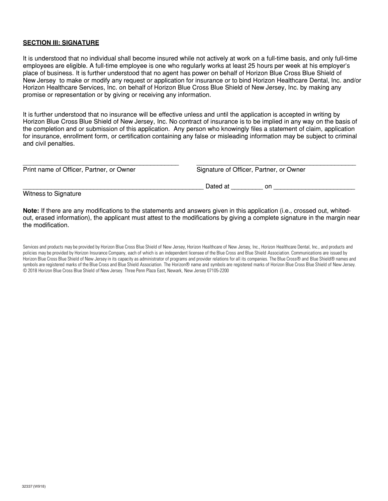#### **SECTION III: SIGNATURE**

It is understood that no individual shall become insured while not actively at work on a full-time basis, and only full-time employees are eligible. A full-time employee is one who regularly works at least 25 hours per week at his employer's place of business. It is further understood that no agent has power on behalf of Horizon Blue Cross Blue Shield of New Jersey to make or modify any request or application for insurance or to bind Horizon Healthcare Dental, Inc. and/or Horizon Healthcare Services, Inc. on behalf of Horizon Blue Cross Blue Shield of New Jersey, Inc. by making any promise or representation or by giving or receiving any information.

It is further understood that no insurance will be effective unless and until the application is accepted in writing by Horizon Blue Cross Blue Shield of New Jersey, Inc. No contract of insurance is to be implied in any way on the basis of the completion and or submission of this application. Any person who knowingly files a statement of claim, application for insurance, enrollment form, or certification containing any false or misleading information may be subject to criminal and civil penalties.

| Print name of Officer, Partner, or Owner | Signature of Officer, Partner, or Owner |    |  |  |  |
|------------------------------------------|-----------------------------------------|----|--|--|--|
|                                          | Dated at                                | on |  |  |  |

Witness to Signature

**Note:** If there are any modifications to the statements and answers given in this application (i.e., crossed out, whitedout, erased information), the applicant must attest to the modifications by giving a complete signature in the margin near the modification.

Services and products may be provided by Horizon Blue Cross Blue Shield of New Jersey, Horizon Healthcare of New Jersey, Inc., Horizon Healthcare Dental, Inc., and products and policies may be provided by Horizon Insurance Company, each of which is an independent licensee of the Blue Cross and Blue Shield Association. Communications are issued by Horizon Blue Cross Blue Shield of New Jersey in its capacity as administrator of programs and provider relations for all its companies. The Blue Cross® and Blue Shield® names and symbols are registered marks of the Blue Cross and Blue Shield Association. The Horizon® name and symbols are registered marks of Horizon Blue Cross Blue Shield of New Jersey. © 2018 Horizon Blue Cross Blue Shield of New Jersey. Three Penn Plaza East, Newark, New Jersey 07105-2200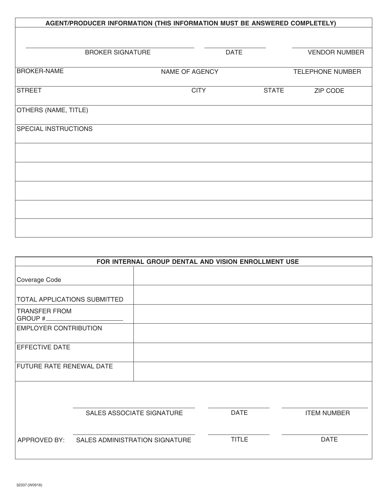| AGENT/PRODUCER INFORMATION (THIS INFORMATION MUST BE ANSWERED COMPLETELY) |                |              |                         |  |  |  |  |
|---------------------------------------------------------------------------|----------------|--------------|-------------------------|--|--|--|--|
|                                                                           |                |              |                         |  |  |  |  |
|                                                                           |                |              |                         |  |  |  |  |
| <b>BROKER SIGNATURE</b>                                                   |                | <b>DATE</b>  | <b>VENDOR NUMBER</b>    |  |  |  |  |
| <b>BROKER-NAME</b>                                                        | NAME OF AGENCY |              | <b>TELEPHONE NUMBER</b> |  |  |  |  |
|                                                                           |                |              |                         |  |  |  |  |
| <b>STREET</b>                                                             | <b>CITY</b>    | <b>STATE</b> | ZIP CODE                |  |  |  |  |
| OTHERS (NAME, TITLE)                                                      |                |              |                         |  |  |  |  |
| SPECIAL INSTRUCTIONS                                                      |                |              |                         |  |  |  |  |
|                                                                           |                |              |                         |  |  |  |  |
|                                                                           |                |              |                         |  |  |  |  |
|                                                                           |                |              |                         |  |  |  |  |
|                                                                           |                |              |                         |  |  |  |  |
|                                                                           |                |              |                         |  |  |  |  |

| FOR INTERNAL GROUP DENTAL AND VISION ENROLLMENT USE |                                |  |              |                    |  |  |  |
|-----------------------------------------------------|--------------------------------|--|--------------|--------------------|--|--|--|
|                                                     |                                |  |              |                    |  |  |  |
| Coverage Code                                       |                                |  |              |                    |  |  |  |
|                                                     |                                |  |              |                    |  |  |  |
| <b>TOTAL APPLICATIONS SUBMITTED</b>                 |                                |  |              |                    |  |  |  |
| <b>TRANSFER FROM</b><br>GROUP #                     |                                |  |              |                    |  |  |  |
| <b>EMPLOYER CONTRIBUTION</b>                        |                                |  |              |                    |  |  |  |
| <b>EFFECTIVE DATE</b>                               |                                |  |              |                    |  |  |  |
| <b>FUTURE RATE RENEWAL DATE</b>                     |                                |  |              |                    |  |  |  |
|                                                     |                                |  |              |                    |  |  |  |
|                                                     | SALES ASSOCIATE SIGNATURE      |  | <b>DATE</b>  | <b>ITEM NUMBER</b> |  |  |  |
| APPROVED BY:                                        | SALES ADMINISTRATION SIGNATURE |  | <b>TITLE</b> | <b>DATE</b>        |  |  |  |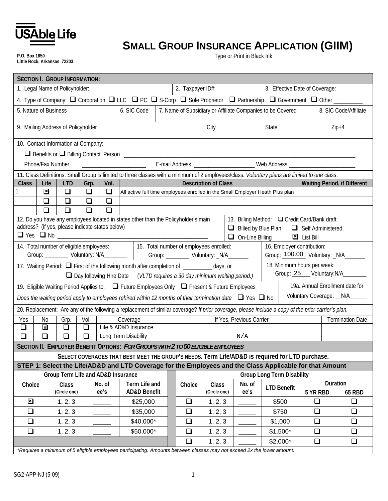

**P.O. Box 1650 Little Rock, Arkansas 72203**

# **SMALL GROUP INSURANCE APPLICATION (GIIM)**

Type or Print in Black Ink

| <b>SECTION I. GROUP INFORMATION:</b>                                                                                        |                                                                                                                            |        |                |                                                                                                                                                    |  |        |                             |                          |                                                                                              |                    |          |                                     |
|-----------------------------------------------------------------------------------------------------------------------------|----------------------------------------------------------------------------------------------------------------------------|--------|----------------|----------------------------------------------------------------------------------------------------------------------------------------------------|--|--------|-----------------------------|--------------------------|----------------------------------------------------------------------------------------------|--------------------|----------|-------------------------------------|
| 2. Taxpayer ID#:<br>1. Legal Name of Policyholder:<br>3. Effective Date of Coverage:                                        |                                                                                                                            |        |                |                                                                                                                                                    |  |        |                             |                          |                                                                                              |                    |          |                                     |
|                                                                                                                             |                                                                                                                            |        |                | 4. Type of Company: Q Corporation Q LLC Q PC Q S-Corp Q Sole Proprietor Q Partnership Q Government Q Other ______                                  |  |        |                             |                          |                                                                                              |                    |          |                                     |
| 6. SIC Code<br>7. Name of Subsidiary or Affiliate Companies to be Covered<br>5. Nature of Business<br>8. SIC Code/Affiliate |                                                                                                                            |        |                |                                                                                                                                                    |  |        |                             |                          |                                                                                              |                    |          |                                     |
| 9. Mailing Address of Policyholder                                                                                          |                                                                                                                            |        |                |                                                                                                                                                    |  |        | City                        |                          | State                                                                                        |                    |          | $Zip+4$                             |
| 10. Contact Information at Company:                                                                                         |                                                                                                                            |        |                |                                                                                                                                                    |  |        |                             |                          |                                                                                              |                    |          |                                     |
|                                                                                                                             |                                                                                                                            |        |                |                                                                                                                                                    |  |        |                             |                          |                                                                                              |                    |          |                                     |
|                                                                                                                             | Phone/Fax Number                                                                                                           |        |                |                                                                                                                                                    |  |        |                             |                          | E-mail Address _______________________ Web Address _____________________________             |                    |          |                                     |
|                                                                                                                             |                                                                                                                            |        |                | 11. Class Definitions. Small Group is limited to three classes with a minimum of 2 employees/class. Voluntary plans are limited to one class.      |  |        |                             |                          |                                                                                              |                    |          |                                     |
| <b>Class</b><br>Life                                                                                                        | <b>LTD</b>                                                                                                                 | Grp.   | Vol.           |                                                                                                                                                    |  |        | <b>Description of Class</b> |                          |                                                                                              |                    |          | <b>Waiting Period, if Different</b> |
| $\boxed{\mathbf{x}}$<br>1                                                                                                   | $\Box$                                                                                                                     | $\Box$ | $\Box$         | All active full time employees enrolled in the Small Employer Heath Plus plan                                                                      |  |        |                             |                          |                                                                                              |                    |          |                                     |
| $\Box$                                                                                                                      | $\Box$                                                                                                                     | $\Box$ | $\Box$         |                                                                                                                                                    |  |        |                             |                          |                                                                                              |                    |          |                                     |
| $\Box$                                                                                                                      | $\Box$                                                                                                                     | $\Box$ | $\Box$         |                                                                                                                                                    |  |        |                             |                          |                                                                                              |                    |          |                                     |
| address? (if yes, please indicate states below)                                                                             |                                                                                                                            |        |                | 12. Do you have any employees located in states other than the Policyholder's main                                                                 |  |        |                             | ❏                        | 13. Billing Method: □ Credit Card/Bank draft<br>Billed by Blue Plan $\Box$ Self Administered |                    |          |                                     |
|                                                                                                                             |                                                                                                                            |        |                |                                                                                                                                                    |  |        |                             | $\Box$                   | On-Line Billing                                                                              | <b>E</b> List Bill |          |                                     |
|                                                                                                                             |                                                                                                                            |        |                |                                                                                                                                                    |  |        |                             |                          | 16. Employer contribution:                                                                   |                    |          |                                     |
| 14. Total number of eligible employees:   15. Total number of employees enrolled:<br>Group: 100.00 Voluntary: N/A           |                                                                                                                            |        |                |                                                                                                                                                    |  |        |                             |                          |                                                                                              |                    |          |                                     |
|                                                                                                                             | 18. Minimum hours per week:<br>17. Waiting Period: $\Box$ First of the following month after completion of $\Box$ days, or |        |                |                                                                                                                                                    |  |        |                             |                          |                                                                                              |                    |          |                                     |
|                                                                                                                             |                                                                                                                            |        |                | $\Box$ Day following Hire Date (VLTD requires a 30 day minimum waiting period.)                                                                    |  |        |                             |                          |                                                                                              |                    |          | Group: 25 Voluntary:N/A_______      |
|                                                                                                                             |                                                                                                                            |        |                | 19. Eligible Waiting Period Applies to: □ Future Employees Only □ Present & Future Employees                                                       |  |        |                             |                          |                                                                                              |                    |          | 19a. Annual Enrollment date for     |
|                                                                                                                             |                                                                                                                            |        |                | Does the waiting period apply to employees rehired within 12 months of their termination date $\Box$ Yes $\Box$ No                                 |  |        |                             |                          |                                                                                              |                    |          | Voluntary Coverage: _N/A______      |
|                                                                                                                             |                                                                                                                            |        |                | 20. Replacement: Are any of the following a replacement of similar coverage? If prior coverage, please include a copy of the prior carrier's plan. |  |        |                             |                          |                                                                                              |                    |          |                                     |
| Yes<br>No                                                                                                                   | Grp.                                                                                                                       | Vol.   |                | Coverage                                                                                                                                           |  |        |                             | If Yes, Previous Carrier |                                                                                              |                    |          | <b>Termination Date</b>             |
| $\boxed{\mathbf{x}}$<br>$\Box$                                                                                              | $\Box$                                                                                                                     | $\Box$ |                | Life & AD&D Insurance                                                                                                                              |  |        |                             |                          |                                                                                              |                    |          |                                     |
| $\Box$<br>❏                                                                                                                 | $\Box$                                                                                                                     | $\Box$ |                | Long Term Disability                                                                                                                               |  |        |                             | N/A                      |                                                                                              |                    |          |                                     |
|                                                                                                                             |                                                                                                                            |        |                | SECTION II. EMPLOYER BENEFIT OPTIONS: FOR GROUPS WITH 2 TO 50 ELIGIBLE EMPLOYEES                                                                   |  |        |                             |                          |                                                                                              |                    |          |                                     |
|                                                                                                                             |                                                                                                                            |        |                | SELECT COVERAGES THAT BEST MEET THE GROUP'S NEEDS. Term Life/AD&D is required for LTD purchase.                                                    |  |        |                             |                          |                                                                                              |                    |          |                                     |
|                                                                                                                             |                                                                                                                            |        |                | STEP 1: Select the Life/AD&D and LTD Coverage for the Employees and the Class Applicable for that Amount                                           |  |        |                             |                          |                                                                                              |                    |          |                                     |
|                                                                                                                             | Group Term Life and AD&D Insurance                                                                                         |        |                |                                                                                                                                                    |  |        |                             |                          | <b>Group Long Term Disability</b>                                                            |                    |          | Duration                            |
| Choice                                                                                                                      | Class<br>(Circle one)                                                                                                      |        | No. of<br>ee's | Term Life and<br><b>AD&amp;D Benefit</b>                                                                                                           |  | Choice | Class<br>(Circle one)       | No. of<br>ee's           | <b>LTD Benefit</b>                                                                           |                    | 5 YR RBD | <b>65 RBD</b>                       |
| $\mathbf{z}$                                                                                                                | 1, 2, 3                                                                                                                    |        |                | \$25,000                                                                                                                                           |  | $\Box$ | 1, 2, 3                     |                          | \$500                                                                                        |                    | ❏        | $\Box$                              |
| $\Box$                                                                                                                      | 1, 2, 3                                                                                                                    |        |                | \$35,000                                                                                                                                           |  | $\Box$ | 1, 2, 3                     |                          | \$750                                                                                        |                    | $\Box$   | ❏                                   |
| $\Box$                                                                                                                      | 1, 2, 3                                                                                                                    |        |                | \$40,000*                                                                                                                                          |  | $\Box$ | 1, 2, 3                     |                          | \$1,000                                                                                      |                    | $\Box$   | $\Box$                              |
| $\Box$                                                                                                                      | 1, 2, 3                                                                                                                    |        |                | \$50,000*                                                                                                                                          |  | $\Box$ | 1, 2, 3                     |                          | $$1,500*$                                                                                    |                    | $\Box$   | $\Box$                              |
| $\Box$<br>1, 2, 3<br>$$2,000*$<br>$\Box$<br>$\Box$                                                                          |                                                                                                                            |        |                |                                                                                                                                                    |  |        |                             |                          |                                                                                              |                    |          |                                     |
| *Requires a minimum of 5 eligible employees participating. Amounts between classes may not exceed 2x the lower amount.      |                                                                                                                            |        |                |                                                                                                                                                    |  |        |                             |                          |                                                                                              |                    |          |                                     |